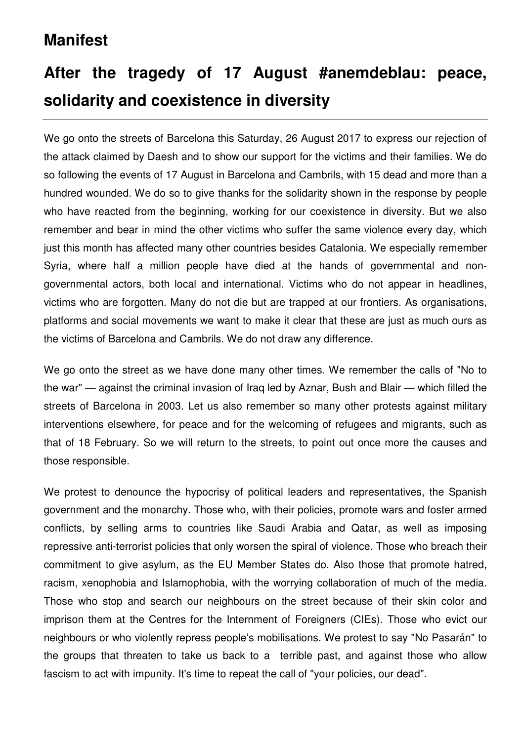## **Manifest**

# **After the tragedy of 17 August #anemdeblau: peace, solidarity and coexistence in diversity**

We go onto the streets of Barcelona this Saturday, 26 August 2017 to express our rejection of the attack claimed by Daesh and to show our support for the victims and their families. We do so following the events of 17 August in Barcelona and Cambrils, with 15 dead and more than a hundred wounded. We do so to give thanks for the solidarity shown in the response by people who have reacted from the beginning, working for our coexistence in diversity. But we also remember and bear in mind the other victims who suffer the same violence every day, which just this month has affected many other countries besides Catalonia. We especially remember Syria, where half a million people have died at the hands of governmental and nongovernmental actors, both local and international. Victims who do not appear in headlines, victims who are forgotten. Many do not die but are trapped at our frontiers. As organisations, platforms and social movements we want to make it clear that these are just as much ours as the victims of Barcelona and Cambrils. We do not draw any difference.

We go onto the street as we have done many other times. We remember the calls of "No to the war" — against the criminal invasion of Iraq led by Aznar, Bush and Blair — which filled the streets of Barcelona in 2003. Let us also remember so many other protests against military interventions elsewhere, for peace and for the welcoming of refugees and migrants, such as that of 18 February. So we will return to the streets, to point out once more the causes and those responsible.

We protest to denounce the hypocrisy of political leaders and representatives, the Spanish government and the monarchy. Those who, with their policies, promote wars and foster armed conflicts, by selling arms to countries like Saudi Arabia and Qatar, as well as imposing repressive anti-terrorist policies that only worsen the spiral of violence. Those who breach their commitment to give asylum, as the EU Member States do. Also those that promote hatred, racism, xenophobia and Islamophobia, with the worrying collaboration of much of the media. Those who stop and search our neighbours on the street because of their skin color and imprison them at the Centres for the Internment of Foreigners (CIEs). Those who evict our neighbours or who violently repress people's mobilisations. We protest to say "No Pasarán" to the groups that threaten to take us back to a terrible past, and against those who allow fascism to act with impunity. It's time to repeat the call of "your policies, our dead".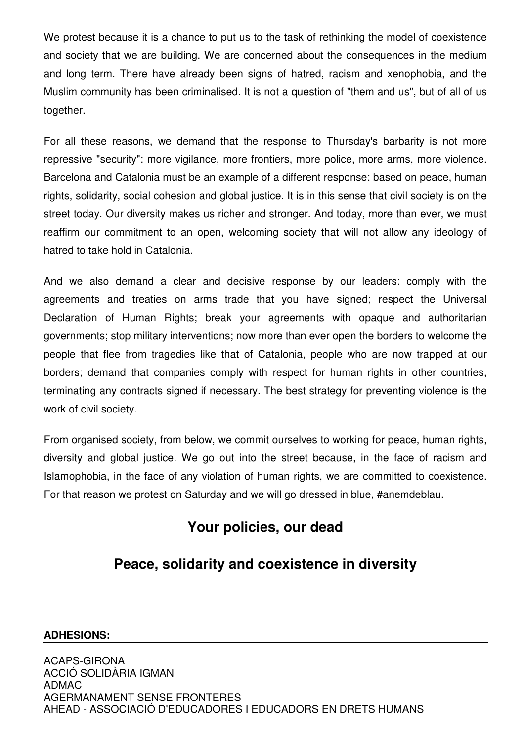We protest because it is a chance to put us to the task of rethinking the model of coexistence and society that we are building. We are concerned about the consequences in the medium and long term. There have already been signs of hatred, racism and xenophobia, and the Muslim community has been criminalised. It is not a question of "them and us", but of all of us together.

For all these reasons, we demand that the response to Thursday's barbarity is not more repressive "security": more vigilance, more frontiers, more police, more arms, more violence. Barcelona and Catalonia must be an example of a different response: based on peace, human rights, solidarity, social cohesion and global justice. It is in this sense that civil society is on the street today. Our diversity makes us richer and stronger. And today, more than ever, we must reaffirm our commitment to an open, welcoming society that will not allow any ideology of hatred to take hold in Catalonia.

And we also demand a clear and decisive response by our leaders: comply with the agreements and treaties on arms trade that you have signed; respect the Universal Declaration of Human Rights; break your agreements with opaque and authoritarian governments; stop military interventions; now more than ever open the borders to welcome the people that flee from tragedies like that of Catalonia, people who are now trapped at our borders; demand that companies comply with respect for human rights in other countries, terminating any contracts signed if necessary. The best strategy for preventing violence is the work of civil society.

From organised society, from below, we commit ourselves to working for peace, human rights, diversity and global justice. We go out into the street because, in the face of racism and Islamophobia, in the face of any violation of human rights, we are committed to coexistence. For that reason we protest on Saturday and we will go dressed in blue, #anemdeblau.

#### **Your policies, our dead**

### **Peace, solidarity and coexistence in diversity**

#### **ADHESIONS:**

ACAPS-GIRONA ACCIÓ SOLIDÀRIA IGMAN ADMAC AGERMANAMENT SENSE FRONTERES AHEAD - ASSOCIACIÓ D'EDUCADORES I EDUCADORS EN DRETS HUMANS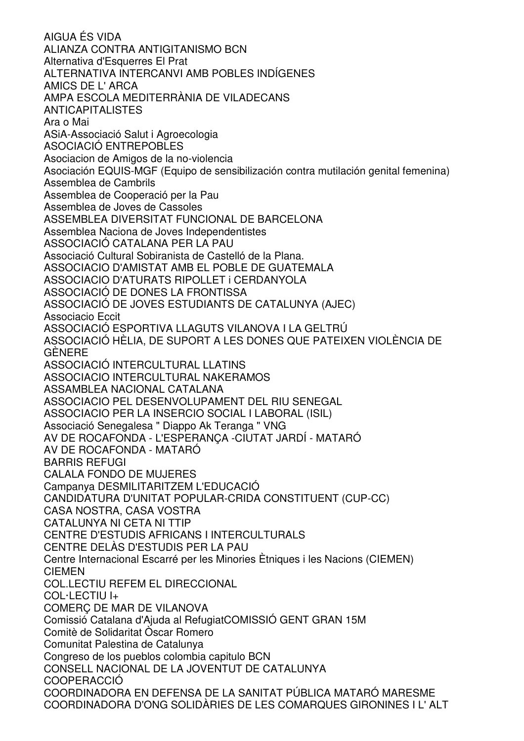AIGUA ÉS VIDA ALIANZA CONTRA ANTIGITANISMO BCN Alternativa d'Esquerres El Prat ALTERNATIVA INTERCANVI AMB POBLES INDÍGENES AMICS DE L' ARCA AMPA ESCOLA MEDITERRÀNIA DE VILADECANS ANTICAPITALISTES Ara o Mai ASiA-Associació Salut i Agroecologia ASOCIACIÓ ENTREPOBLES Asociacion de Amigos de la no-violencia Asociación EQUIS-MGF (Equipo de sensibilización contra mutilación genital femenina) Assemblea de Cambrils Assemblea de Cooperació per la Pau Assemblea de Joves de Cassoles ASSEMBLEA DIVERSITAT FUNCIONAL DE BARCELONA Assemblea Naciona de Joves Independentistes ASSOCIACIÓ CATALANA PER LA PAU Associació Cultural Sobiranista de Castelló de la Plana. ASSOCIACIO D'AMISTAT AMB EL POBLE DE GUATEMALA ASSOCIACIO D'ATURATS RIPOLLET i CERDANYOLA ASSOCIACIÓ DE DONES LA FRONTISSA ASSOCIACIÓ DE JOVES ESTUDIANTS DE CATALUNYA (AJEC) Associacio Eccit ASSOCIACIÓ ESPORTIVA LLAGUTS VILANOVA I LA GELTRÚ ASSOCIACIÓ HÈLIA, DE SUPORT A LES DONES QUE PATEIXEN VIOLÈNCIA DE GÈNERE ASSOCIACIÓ INTERCULTURAL LLATINS ASSOCIACIO INTERCULTURAL NAKERAMOS ASSAMBLEA NACIONAL CATALANA ASSOCIACIO PEL DESENVOLUPAMENT DEL RIU SENEGAL ASSOCIACIO PER LA INSERCIO SOCIAL I LABORAL (ISIL) Associació Senegalesa " Diappo Ak Teranga " VNG AV DE ROCAFONDA - L'ESPERANÇA -CIUTAT JARDÍ - MATARÓ AV DE ROCAFONDA - MATARÓ BARRIS REFUGI CALALA FONDO DE MUJERES Campanya DESMILITARITZEM L'EDUCACIÓ CANDIDATURA D'UNITAT POPULAR-CRIDA CONSTITUENT (CUP-CC) CASA NOSTRA, CASA VOSTRA CATALUNYA NI CETA NI TTIP CENTRE D'ESTUDIS AFRICANS I INTERCULTURALS CENTRE DELÀS D'ESTUDIS PER LA PAU Centre Internacional Escarré per les Minories Ètniques i les Nacions (CIEMEN) CIEMEN COL.LECTIU REFEM EL DIRECCIONAL COL·LECTIU I+ COMERÇ DE MAR DE VILANOVA Comissió Catalana d'Ajuda al RefugiatCOMISSIÓ GENT GRAN 15M Comitè de Solidaritat Òscar Romero Comunitat Palestina de Catalunya Congreso de los pueblos colombia capitulo BCN CONSELL NACIONAL DE LA JOVENTUT DE CATALUNYA COOPERACCIÓ COORDINADORA EN DEFENSA DE LA SANITAT PÚBLICA MATARÓ MARESME COORDINADORA D'ONG SOLIDÀRIES DE LES COMARQUES GIRONINES I L' ALT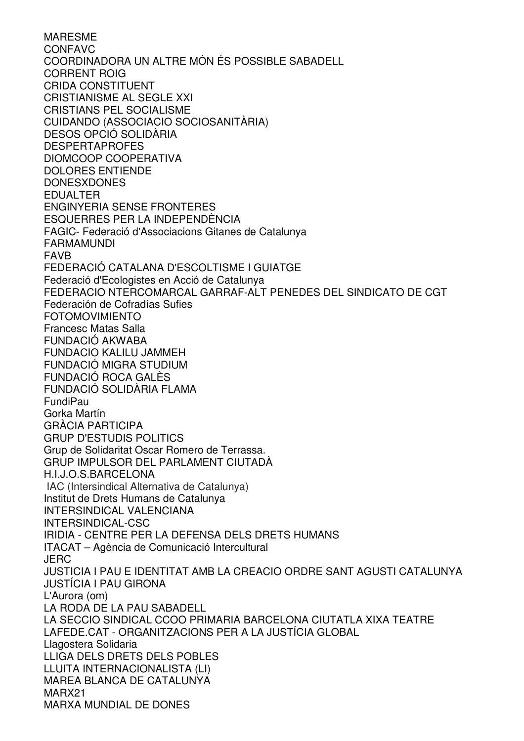MARESME CONFAVC COORDINADORA UN ALTRE MÓN ÉS POSSIBLE SABADELL CORRENT ROIG CRIDA CONSTITUENT CRISTIANISME AL SEGLE XXI CRISTIANS PEL SOCIALISME CUIDANDO (ASSOCIACIO SOCIOSANITÀRIA) DESOS OPCIÓ SOLIDÀRIA DESPERTAPROFES DIOMCOOP COOPERATIVA DOLORES ENTIENDE DONESXDONES EDUALTER ENGINYERIA SENSE FRONTERES ESQUERRES PER LA INDEPENDÈNCIA FAGIC- Federació d'Associacions Gitanes de Catalunya FARMAMUNDI FAVB FEDERACIÓ CATALANA D'ESCOLTISME I GUIATGE Federació d'Ecologistes en Acció de Catalunya FEDERACIO NTERCOMARCAL GARRAF-ALT PENEDES DEL SINDICATO DE CGT Federación de Cofradías Sufies FOTOMOVIMIENTO Francesc Matas Salla FUNDACIÓ AKWABA FUNDACIO KALILU JAMMEH FUNDACIÓ MIGRA STUDIUM FUNDACIÓ ROCA GALÈS FUNDACIÓ SOLIDÀRIA FLAMA FundiPau Gorka Martín GRÀCIA PARTICIPA GRUP D'ESTUDIS POLITICS Grup de Solidaritat Oscar Romero de Terrassa. GRUP IMPULSOR DEL PARLAMENT CIUTADÀ H.I.J.O.S.BARCELONA IAC (Intersindical Alternativa de Catalunya) Institut de Drets Humans de Catalunya INTERSINDICAL VALENCIANA INTERSINDICAL-CSC IRIDIA - CENTRE PER LA DEFENSA DELS DRETS HUMANS ITACAT – Agència de Comunicació Intercultural **JERC** JUSTICIA I PAU E IDENTITAT AMB LA CREACIO ORDRE SANT AGUSTI CATALUNYA JUSTÍCIA I PAU GIRONA L'Aurora (om) LA RODA DE LA PAU SABADELL LA SECCIO SINDICAL CCOO PRIMARIA BARCELONA CIUTATLA XIXA TEATRE LAFEDE.CAT - ORGANITZACIONS PER A LA JUSTÍCIA GLOBAL Llagostera Solidaria LLIGA DELS DRETS DELS POBLES LLUITA INTERNACIONALISTA (LI) MAREA BLANCA DE CATALUNYA MARX21 MARXA MUNDIAL DE DONES